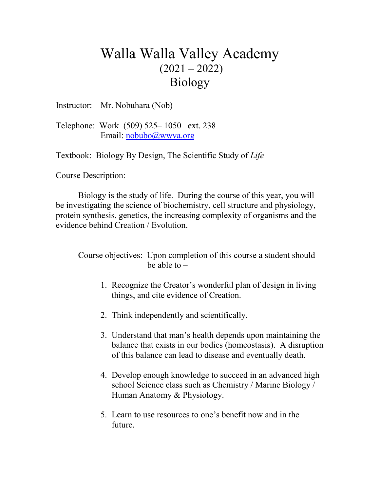## Walla Walla Valley Academy  $(2021 - 2022)$ Biology

Instructor: Mr. Nobuhara (Nob)

Telephone: Work (509) 525– 1050 ext. 238 Email: [nobubo@wwva.org](mailto:nobubo@wwva.org)

Textbook: Biology By Design, The Scientific Study of *Life*

Course Description:

Biology is the study of life. During the course of this year, you will be investigating the science of biochemistry, cell structure and physiology, protein synthesis, genetics, the increasing complexity of organisms and the evidence behind Creation / Evolution.

Course objectives: Upon completion of this course a student should be able to  $-$ 

- 1. Recognize the Creator's wonderful plan of design in living things, and cite evidence of Creation.
- 2. Think independently and scientifically.
- 3. Understand that man's health depends upon maintaining the balance that exists in our bodies (homeostasis). A disruption of this balance can lead to disease and eventually death.
- 4. Develop enough knowledge to succeed in an advanced high school Science class such as Chemistry / Marine Biology / Human Anatomy & Physiology.
- 5. Learn to use resources to one's benefit now and in the future.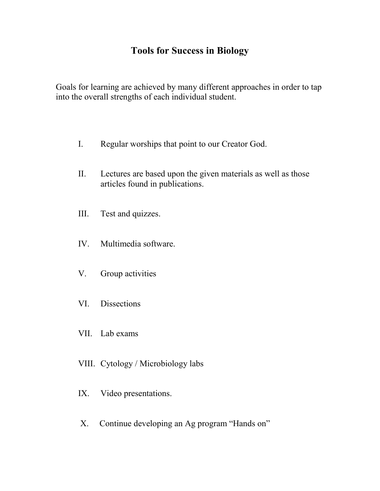### **Tools for Success in Biology**

Goals for learning are achieved by many different approaches in order to tap into the overall strengths of each individual student.

- I. Regular worships that point to our Creator God.
- II. Lectures are based upon the given materials as well as those articles found in publications.
- III. Test and quizzes.
- IV. Multimedia software.
- V. Group activities
- VI. Dissections
- VII. Lab exams
- VIII. Cytology / Microbiology labs
- IX. Video presentations.
- X. Continue developing an Ag program "Hands on"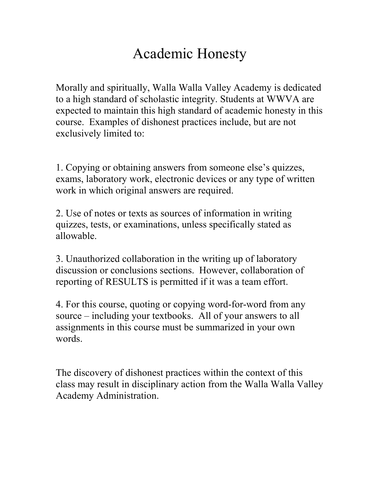# Academic Honesty

Morally and spiritually, Walla Walla Valley Academy is dedicated to a high standard of scholastic integrity. Students at WWVA are expected to maintain this high standard of academic honesty in this course. Examples of dishonest practices include, but are not exclusively limited to:

1. Copying or obtaining answers from someone else's quizzes, exams, laboratory work, electronic devices or any type of written work in which original answers are required.

2. Use of notes or texts as sources of information in writing quizzes, tests, or examinations, unless specifically stated as allowable.

3. Unauthorized collaboration in the writing up of laboratory discussion or conclusions sections. However, collaboration of reporting of RESULTS is permitted if it was a team effort.

4. For this course, quoting or copying word-for-word from any source – including your textbooks. All of your answers to all assignments in this course must be summarized in your own words.

The discovery of dishonest practices within the context of this class may result in disciplinary action from the Walla Walla Valley Academy Administration.